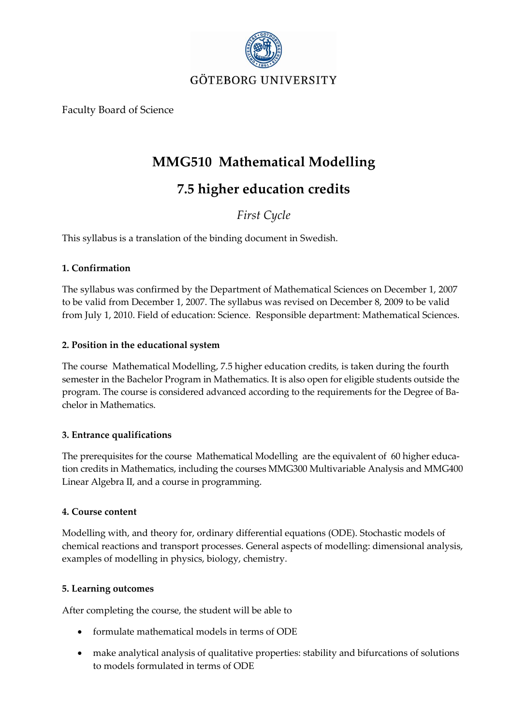

Faculty Board of Science

## **MMG510 Mathematical Modelling**

# **7.5 higher education credits**

### *First Cycle*

This syllabus is a translation of the binding document in Swedish.

#### **1. Confirmation**

The syllabus was confirmed by the Department of Mathematical Sciences on December 1, 2007 to be valid from December 1, 2007. The syllabus was revised on December 8, 2009 to be valid from July 1, 2010. Field of education: Science. Responsible department: Mathematical Sciences.

#### **2. Position in the educational system**

The courseMathematical Modelling, 7.5 higher education credits, is taken during the fourth semester in the Bachelor Program in Mathematics. It is also open for eligible students outside the program. The course is considered advanced according to the requirements for the Degree of Bachelor in Mathematics.

#### **3. Entrance qualifications**

The prerequisites for the course Mathematical Modelling are the equivalent of 60 higher education credits in Mathematics, including the courses MMG300 Multivariable Analysis and MMG400 Linear Algebra II, and a course in programming.

#### **4. Course content**

Modelling with, and theory for, ordinary differential equations (ODE). Stochastic models of chemical reactions and transport processes. General aspects of modelling: dimensional analysis, examples of modelling in physics, biology, chemistry.

#### **5. Learning outcomes**

After completing the course, the student will be able to

- formulate mathematical models in terms of ODE
- make analytical analysis of qualitative properties: stability and bifurcations of solutions to models formulated in terms of ODE